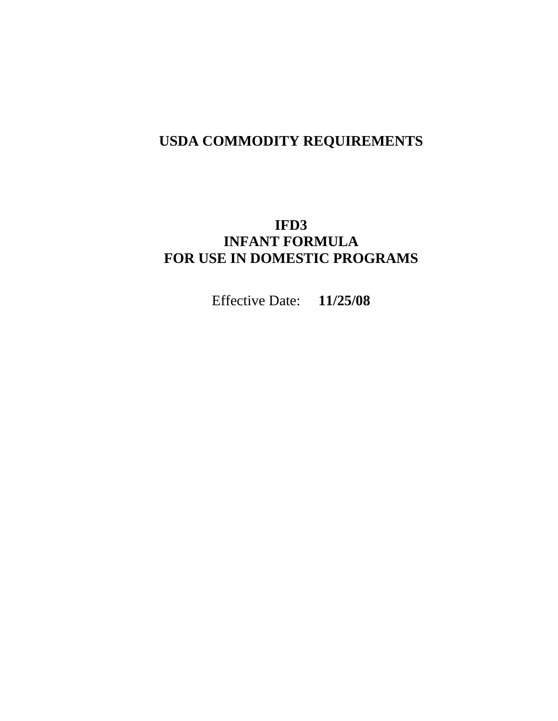# **USDA COMMODITY REQUIREMENTS**

# **IFD3 INFANT FORMULA FOR USE IN DOMESTIC PROGRAMS**

Effective Date: **11/25/08**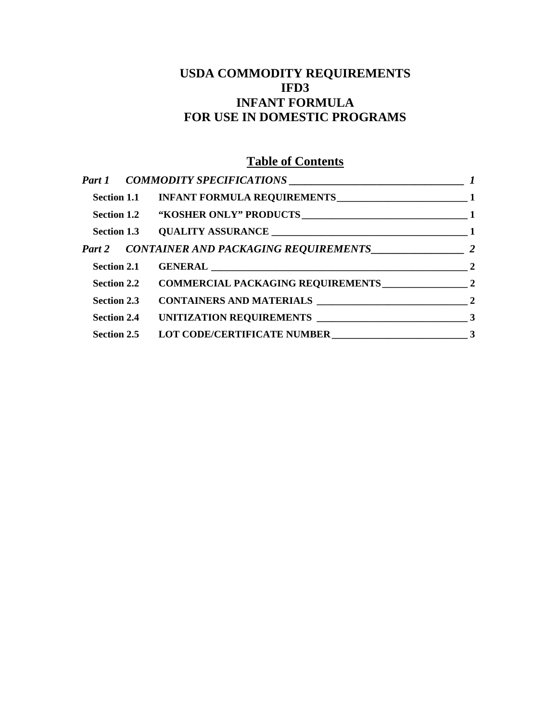## **USDA COMMODITY REQUIREMENTS IFD3 INFANT FORMULA FOR USE IN DOMESTIC PROGRAMS**

# **Table of Contents**

|  | Section 1.1 INFANT FORMULA REQUIREMENTS<br>1     |  |
|--|--------------------------------------------------|--|
|  |                                                  |  |
|  |                                                  |  |
|  |                                                  |  |
|  |                                                  |  |
|  | Section 2.2 COMMERCIAL PACKAGING REQUIREMENTS 22 |  |
|  |                                                  |  |
|  |                                                  |  |
|  | Section 2.5 LOT CODE/CERTIFICATE NUMBER<br>3     |  |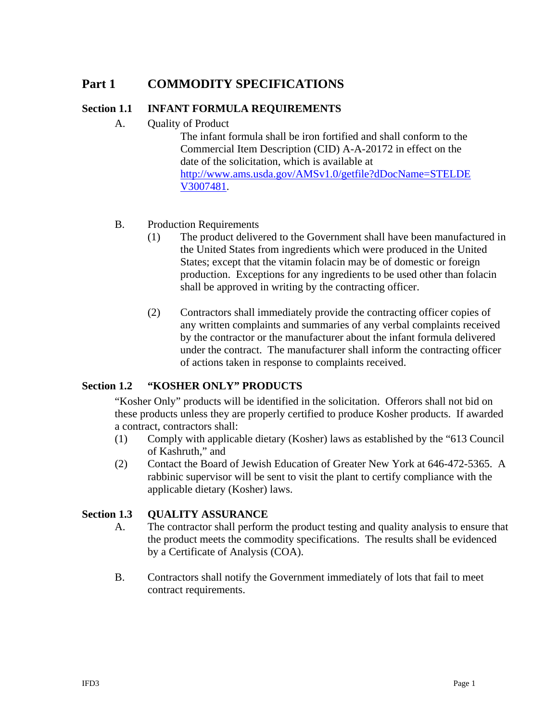## <span id="page-2-0"></span>**Part 1 COMMODITY SPECIFICATIONS**

## **Section 1.1 INFANT FORMULA REQUIREMENTS**

A. Quality of Product

The infant formula shall be iron fortified and shall conform to the Commercial Item Description (CID) A-A-20172 in effect on the date of the solicitation, which is available at [http://www.ams.usda.gov/AMSv1.0/getfile?dDocName=STELDE](#page-6-0) [V3007481.](#page-6-0)

## B. Production Requirements

- (1) The product delivered to the Government shall have been manufactured in the United States from ingredients which were produced in the United States; except that the vitamin folacin may be of domestic or foreign production. Exceptions for any ingredients to be used other than folacin shall be approved in writing by the contracting officer.
- (2) Contractors shall immediately provide the contracting officer copies of any written complaints and summaries of any verbal complaints received by the contractor or the manufacturer about the infant formula delivered under the contract. The manufacturer shall inform the contracting officer of actions taken in response to complaints received.

## **Section 1.2 "KOSHER ONLY" PRODUCTS**

"Kosher Only" products will be identified in the solicitation. Offerors shall not bid on these products unless they are properly certified to produce Kosher products. If awarded a contract, contractors shall:

- (1) Comply with applicable dietary (Kosher) laws as established by the "613 Council of Kashruth," and
- (2) Contact the Board of Jewish Education of Greater New York at 646-472-5365. A rabbinic supervisor will be sent to visit the plant to certify compliance with the applicable dietary (Kosher) laws.

## **Section 1.3 QUALITY ASSURANCE**

- A. The contractor shall perform the product testing and quality analysis to ensure that the product meets the commodity specifications. The results shall be evidenced by a Certificate of Analysis (COA).
- B. Contractors shall notify the Government immediately of lots that fail to meet contract requirements.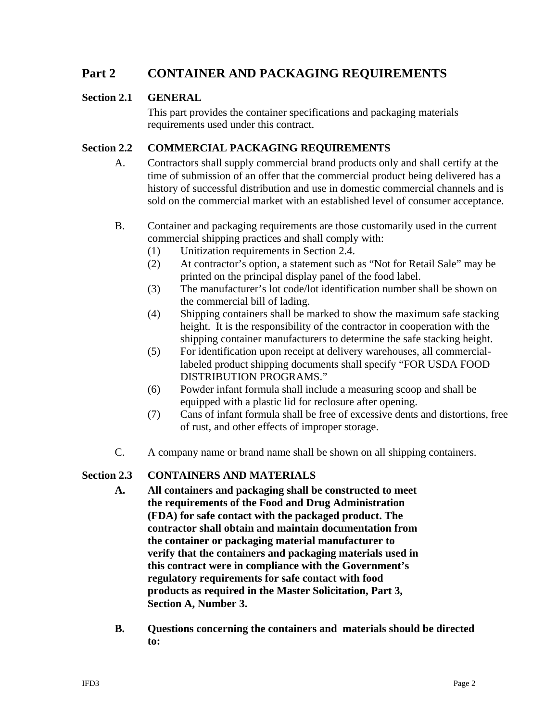## <span id="page-3-0"></span>**Part 2 CONTAINER AND PACKAGING REQUIREMENTS**

## **Section 2.1 GENERAL**

This part provides the container specifications and packaging materials requirements used under this contract.

## **Section 2.2 COMMERCIAL PACKAGING REQUIREMENTS**

- A. Contractors shall supply commercial brand products only and shall certify at the time of submission of an offer that the commercial product being delivered has a history of successful distribution and use in domestic commercial channels and is sold on the commercial market with an established level of consumer acceptance.
- B. Container and packaging requirements are those customarily used in the current commercial shipping practices and shall comply with:
	- (1) Unitization requirements in Section 2.4.
	- (2) At contractor's option, a statement such as "Not for Retail Sale" may be printed on the principal display panel of the food label.
	- (3) The manufacturer's lot code/lot identification number shall be shown on the commercial bill of lading.
	- (4) Shipping containers shall be marked to show the maximum safe stacking height. It is the responsibility of the contractor in cooperation with the shipping container manufacturers to determine the safe stacking height.
	- (5) For identification upon receipt at delivery warehouses, all commerciallabeled product shipping documents shall specify "FOR USDA FOOD DISTRIBUTION PROGRAMS."
	- (6) Powder infant formula shall include a measuring scoop and shall be equipped with a plastic lid for reclosure after opening.
	- (7) Cans of infant formula shall be free of excessive dents and distortions, free of rust, and other effects of improper storage.
- C. A company name or brand name shall be shown on all shipping containers.

## **Section 2.3 CONTAINERS AND MATERIALS**

- **A. All containers and packaging shall be constructed to meet the requirements of the Food and Drug Administration (FDA) for safe contact with the packaged product. The contractor shall obtain and maintain documentation from the container or packaging material manufacturer to verify that the containers and packaging materials used in this contract were in compliance with the Government's regulatory requirements for safe contact with food products as required in the Master Solicitation, Part 3, Section A, Number 3.**
- **B. Questions concerning the containers and materials should be directed to:**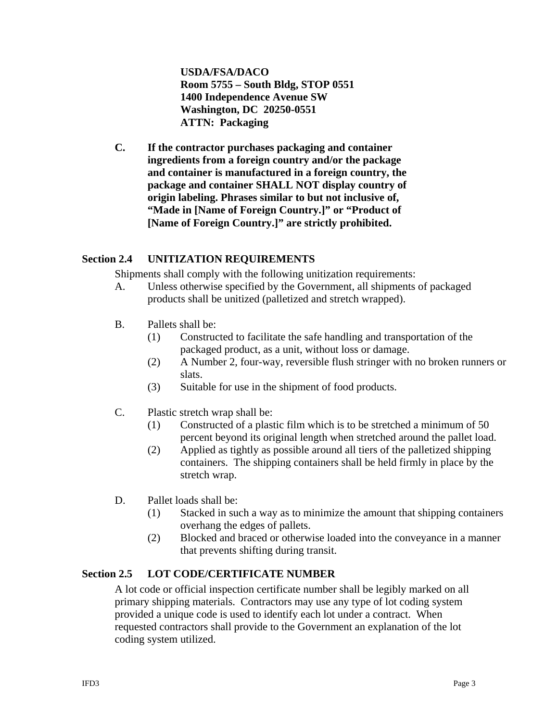**USDA/FSA/DACO Room 5755 – South Bldg, STOP 0551 1400 Independence Avenue SW Washington, DC 20250-0551 ATTN: Packaging** 

<span id="page-4-0"></span>**C. If the contractor purchases packaging and container ingredients from a foreign country and/or the package and container is manufactured in a foreign country, the package and container SHALL NOT display country of origin labeling. Phrases similar to but not inclusive of, "Made in [Name of Foreign Country.]" or "Product of [Name of Foreign Country.]" are strictly prohibited.** 

## **Section 2.4 UNITIZATION REQUIREMENTS**

Shipments shall comply with the following unitization requirements:

- A. Unless otherwise specified by the Government, all shipments of packaged products shall be unitized (palletized and stretch wrapped).
- B. Pallets shall be:
	- (1) Constructed to facilitate the safe handling and transportation of the packaged product, as a unit, without loss or damage.
	- (2) A Number 2, four-way, reversible flush stringer with no broken runners or slats.
	- (3) Suitable for use in the shipment of food products.
- C. Plastic stretch wrap shall be:
	- (1) Constructed of a plastic film which is to be stretched a minimum of 50 percent beyond its original length when stretched around the pallet load.
	- (2) Applied as tightly as possible around all tiers of the palletized shipping containers. The shipping containers shall be held firmly in place by the stretch wrap.
- D. Pallet loads shall be:
	- (1) Stacked in such a way as to minimize the amount that shipping containers overhang the edges of pallets.
	- (2) Blocked and braced or otherwise loaded into the conveyance in a manner that prevents shifting during transit.

## **Section 2.5 LOT CODE/CERTIFICATE NUMBER**

A lot code or official inspection certificate number shall be legibly marked on all primary shipping materials. Contractors may use any type of lot coding system provided a unique code is used to identify each lot under a contract. When requested contractors shall provide to the Government an explanation of the lot coding system utilized.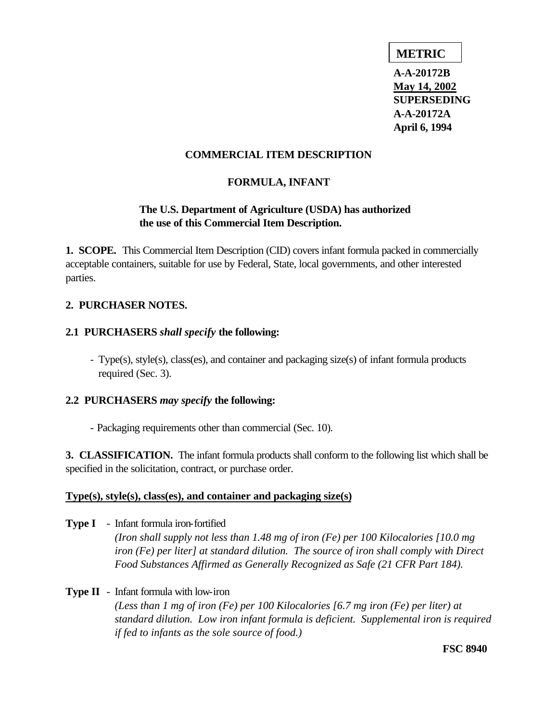## **METRIC**

**A-A-20172B May 14, 2002 SUPERSEDING A-A-20172A April 6, 1994**

## <span id="page-6-0"></span>**COMMERCIAL ITEM DESCRIPTION**

## **FORMULA, INFANT**

## **The U.S. Department of Agriculture (USDA) has authorized the use of this Commercial Item Description.**

**1. SCOPE.** This Commercial Item Description (CID) covers infant formula packed in commercially acceptable containers, suitable for use by Federal, State, local governments, and other interested parties.

## **2. PURCHASER NOTES.**

## **2.1 PURCHASERS** *shall specify* **the following:**

- Type(s), style(s), class(es), and container and packaging size(s) of infant formula products required (Sec. 3).

## **2.2 PURCHASERS** *may specify* **the following:**

- Packaging requirements other than commercial (Sec. 10).

**3. CLASSIFICATION.** The infant formula products shall conform to the following list which shall be specified in the solicitation, contract, or purchase order.

## **Type(s), style(s), class(es), and container and packaging size(s)**

**Type I** - Infant formula iron-fortified *(Iron shall supply not less than 1.48 mg of iron (Fe) per 100 Kilocalories [10.0 mg iron (Fe) per liter] at standard dilution. The source of iron shall comply with Direct Food Substances Affirmed as Generally Recognized as Safe (21 CFR Part 184).*

## **Type II** - Infant formula with low-iron

*(Less than 1 mg of iron (Fe) per 100 Kilocalories [6.7 mg iron (Fe) per liter) at standard dilution. Low iron infant formula is deficient. Supplemental iron is required if fed to infants as the sole source of food.)*

**FSC 8940**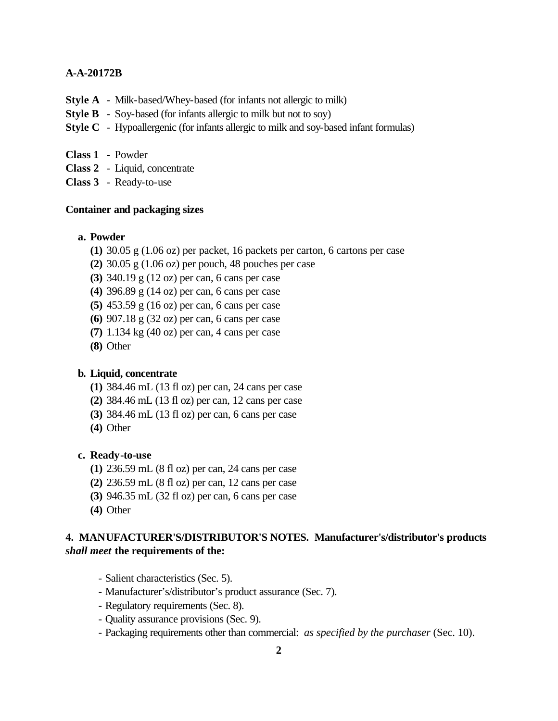- **Style A** Milk-based/Whey-based (for infants not allergic to milk)
- **Style B** Soy-based (for infants allergic to milk but not to soy)
- **Style C** Hypoallergenic (for infants allergic to milk and soy-based infant formulas)
- **Class 1** Powder
- **Class 2** Liquid, concentrate
- **Class 3** Ready-to-use

## **Container and packaging sizes**

## **a. Powder**

- **(1)** 30.05 g (1.06 oz) per packet, 16 packets per carton, 6 cartons per case
- **(2)** 30.05 g (1.06 oz) per pouch, 48 pouches per case
- **(3)** 340.19 g (12 oz) per can, 6 cans per case
- **(4)** 396.89 g (14 oz) per can, 6 cans per case
- **(5)** 453.59 g (16 oz) per can, 6 cans per case
- **(6)** 907.18 g (32 oz) per can, 6 cans per case
- **(7)** 1.134 kg (40 oz) per can, 4 cans per case
- **(8)** Other

#### **b. Liquid, concentrate**

- **(1)** 384.46 mL (13 fl oz) per can, 24 cans per case
- **(2)** 384.46 mL (13 fl oz) per can, 12 cans per case
- **(3)** 384.46 mL (13 fl oz) per can, 6 cans per case
- **(4)** Other

## **c. Ready-to-use**

- **(1)** 236.59 mL (8 fl oz) per can, 24 cans per case
- **(2)** 236.59 mL (8 fl oz) per can, 12 cans per case
- **(3)** 946.35 mL (32 fl oz) per can, 6 cans per case
- **(4)** Other

## **4. MANUFACTURER'S/DISTRIBUTOR'S NOTES. Manufacturer's/distributor's products**  *shall meet* **the requirements of the:**

- Salient characteristics (Sec. 5).
- Manufacturer's/distributor's product assurance (Sec. 7).
- Regulatory requirements (Sec. 8).
- Quality assurance provisions (Sec. 9).
- Packaging requirements other than commercial: *as specified by the purchaser* (Sec. 10).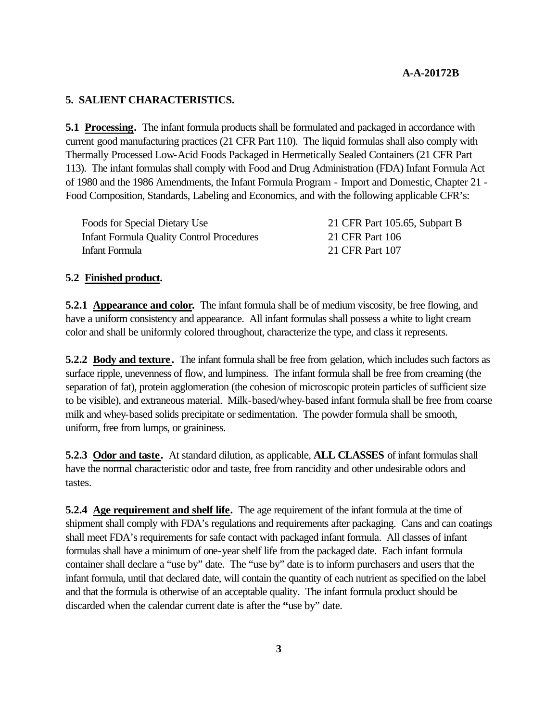## **5. SALIENT CHARACTERISTICS.**

**5.1 Processing.** The infant formula products shall be formulated and packaged in accordance with current good manufacturing practices (21 CFR Part 110). The liquid formulas shall also comply with Thermally Processed Low-Acid Foods Packaged in Hermetically Sealed Containers (21 CFR Part 113). The infant formulas shall comply with Food and Drug Administration (FDA) Infant Formula Act of 1980 and the 1986 Amendments, the Infant Formula Program - Import and Domestic, Chapter 21 - Food Composition, Standards, Labeling and Economics, and with the following applicable CFR's:

Foods for Special Dietary Use 21 CFR Part 105.65, Subpart B Infant Formula Quality Control Procedures 21 CFR Part 106 Infant Formula 21 CFR Part 107

### **5.2 Finished product.**

**5.2.1 Appearance and color.** The infant formula shall be of medium viscosity, be free flowing, and have a uniform consistency and appearance. All infant formulas shall possess a white to light cream color and shall be uniformly colored throughout, characterize the type, and class it represents.

**5.2.2 Body and texture.** The infant formula shall be free from gelation, which includes such factors as surface ripple, unevenness of flow, and lumpiness. The infant formula shall be free from creaming (the separation of fat), protein agglomeration (the cohesion of microscopic protein particles of sufficient size to be visible), and extraneous material. Milk-based/whey-based infant formula shall be free from coarse milk and whey-based solids precipitate or sedimentation. The powder formula shall be smooth, uniform, free from lumps, or graininess.

**5.2.3 Odor and taste.** At standard dilution, as applicable, **ALL CLASSES** of infant formulas shall have the normal characteristic odor and taste, free from rancidity and other undesirable odors and tastes.

**5.2.4 Age requirement and shelf life.** The age requirement of the infant formula at the time of shipment shall comply with FDA's regulations and requirements after packaging. Cans and can coatings shall meet FDA's requirements for safe contact with packaged infant formula. All classes of infant formulas shall have a minimum of one-year shelf life from the packaged date. Each infant formula container shall declare a "use by" date. The "use by" date is to inform purchasers and users that the infant formula, until that declared date, will contain the quantity of each nutrient as specified on the label and that the formula is otherwise of an acceptable quality. The infant formula product should be discarded when the calendar current date is after the **"**use by" date.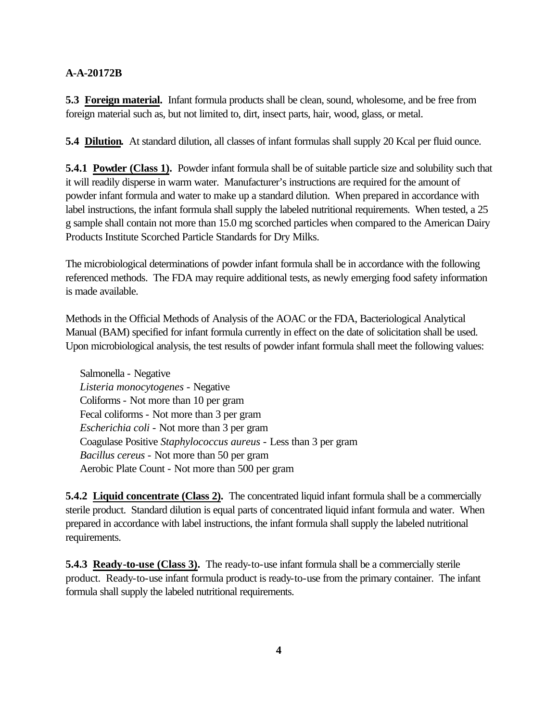**5.3 Foreign material.** Infant formula products shall be clean, sound, wholesome, and be free from foreign material such as, but not limited to, dirt, insect parts, hair, wood, glass, or metal.

**5.4 Dilution.** At standard dilution, all classes of infant formulas shall supply 20 Kcal per fluid ounce.

**5.4.1 Powder (Class 1).** Powder infant formula shall be of suitable particle size and solubility such that it will readily disperse in warm water. Manufacturer's instructions are required for the amount of powder infant formula and water to make up a standard dilution. When prepared in accordance with label instructions, the infant formula shall supply the labeled nutritional requirements. When tested, a 25 g sample shall contain not more than 15.0 mg scorched particles when compared to the American Dairy Products Institute Scorched Particle Standards for Dry Milks.

The microbiological determinations of powder infant formula shall be in accordance with the following referenced methods. The FDA may require additional tests, as newly emerging food safety information is made available.

Methods in the Official Methods of Analysis of the AOAC or the FDA, Bacteriological Analytical Manual (BAM) specified for infant formula currently in effect on the date of solicitation shall be used. Upon microbiological analysis, the test results of powder infant formula shall meet the following values:

Salmonella - Negative *Listeria monocytogenes* - Negative Coliforms - Not more than 10 per gram Fecal coliforms - Not more than 3 per gram *Escherichia coli* - Not more than 3 per gram Coagulase Positive *Staphylococcus aureus* - Less than 3 per gram *Bacillus cereus* - Not more than 50 per gram Aerobic Plate Count - Not more than 500 per gram

**5.4.2 Liquid concentrate (Class 2).** The concentrated liquid infant formula shall be a commercially sterile product. Standard dilution is equal parts of concentrated liquid infant formula and water. When prepared in accordance with label instructions, the infant formula shall supply the labeled nutritional requirements.

**5.4.3 Ready-to-use (Class 3).** The ready-to-use infant formula shall be a commercially sterile product. Ready-to-use infant formula product is ready-to-use from the primary container. The infant formula shall supply the labeled nutritional requirements.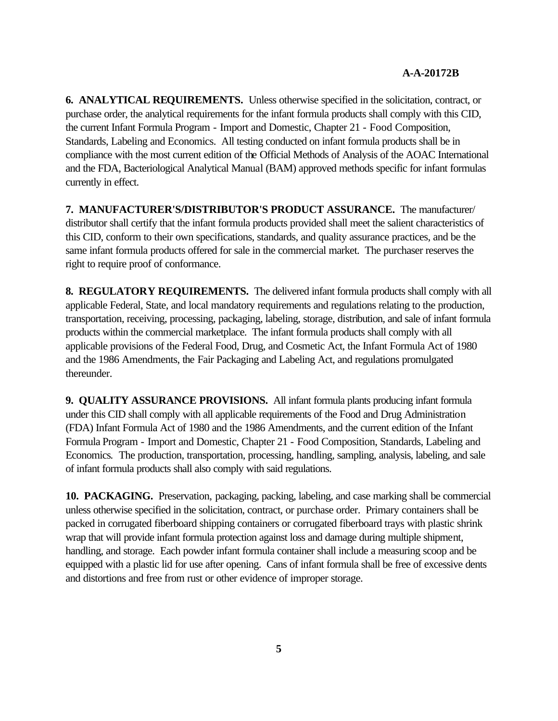**6. ANALYTICAL REQUIREMENTS.** Unless otherwise specified in the solicitation, contract, or purchase order, the analytical requirements for the infant formula products shall comply with this CID, the current Infant Formula Program - Import and Domestic, Chapter 21 - Food Composition, Standards, Labeling and Economics. All testing conducted on infant formula products shall be in compliance with the most current edition of the Official Methods of Analysis of the AOAC International and the FDA, Bacteriological Analytical Manual (BAM) approved methods specific for infant formulas currently in effect.

**7. MANUFACTURER'S/DISTRIBUTOR'S PRODUCT ASSURANCE.** The manufacturer/ distributor shall certify that the infant formula products provided shall meet the salient characteristics of this CID, conform to their own specifications, standards, and quality assurance practices, and be the same infant formula products offered for sale in the commercial market. The purchaser reserves the right to require proof of conformance.

**8. REGULATORY REQUIREMENTS.** The delivered infant formula products shall comply with all applicable Federal, State, and local mandatory requirements and regulations relating to the production, transportation, receiving, processing, packaging, labeling, storage, distribution, and sale of infant formula products within the commercial marketplace. The infant formula products shall comply with all applicable provisions of the Federal Food, Drug, and Cosmetic Act, the Infant Formula Act of 1980 and the 1986 Amendments, the Fair Packaging and Labeling Act, and regulations promulgated thereunder.

**9. QUALITY ASSURANCE PROVISIONS.** All infant formula plants producing infant formula under this CID shall comply with all applicable requirements of the Food and Drug Administration (FDA) Infant Formula Act of 1980 and the 1986 Amendments, and the current edition of the Infant Formula Program - Import and Domestic, Chapter 21 - Food Composition, Standards, Labeling and Economics*.* The production, transportation, processing, handling, sampling, analysis, labeling, and sale of infant formula products shall also comply with said regulations.

**10. PACKAGING.** Preservation, packaging, packing, labeling, and case marking shall be commercial unless otherwise specified in the solicitation, contract, or purchase order. Primary containers shall be packed in corrugated fiberboard shipping containers or corrugated fiberboard trays with plastic shrink wrap that will provide infant formula protection against loss and damage during multiple shipment, handling, and storage. Each powder infant formula container shall include a measuring scoop and be equipped with a plastic lid for use after opening. Cans of infant formula shall be free of excessive dents and distortions and free from rust or other evidence of improper storage.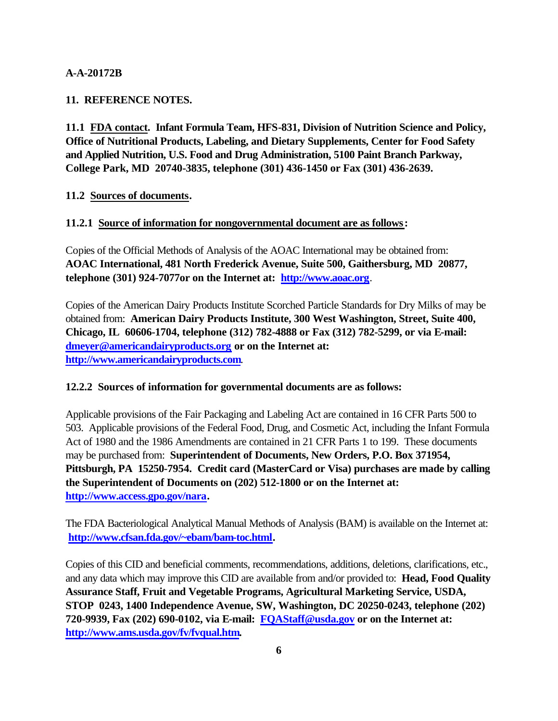## **11. REFERENCE NOTES.**

**11.1 FDA contact. Infant Formula Team, HFS-831, Division of Nutrition Science and Policy, Office of Nutritional Products, Labeling, and Dietary Supplements, Center for Food Safety and Applied Nutrition, U.S. Food and Drug Administration, 5100 Paint Branch Parkway, College Park, MD 20740-3835, telephone (301) 436-1450 or Fax (301) 436-2639.**

## **11.2 Sources of documents.**

## **11.2.1 Source of information for nongovernmental document are as follows:**

Copies of the Official Methods of Analysis of the AOAC International may be obtained from: **AOAC International, 481 North Frederick Avenue, Suite 500, Gaithersburg, MD 20877, telephone (301) 924-7077or on the Internet at: http://www.aoac.org**.

Copies of the American Dairy Products Institute Scorched Particle Standards for Dry Milks of may be obtained from: **American Dairy Products Institute, 300 West Washington, Street, Suite 400, Chicago, IL 60606-1704, telephone (312) 782-4888 or Fax (312) 782-5299, or via E-mail: dmeyer@americandairyproducts.org or on the Internet at: http://www.americandairyproducts.com**.

## **12.2.2 Sources of information for governmental documents are as follows:**

Applicable provisions of the Fair Packaging and Labeling Act are contained in 16 CFR Parts 500 to 503. Applicable provisions of the Federal Food, Drug, and Cosmetic Act, including the Infant Formula Act of 1980 and the 1986 Amendments are contained in 21 CFR Parts 1 to 199. These documents may be purchased from: **Superintendent of Documents, New Orders, P.O. Box 371954, Pittsburgh, PA 15250-7954. Credit card (MasterCard or Visa) purchases are made by calling the Superintendent of Documents on (202) 512-1800 or on the Internet at: http://www.access.gpo.gov/nara.**

The FDA Bacteriological Analytical Manual Methods of Analysis (BAM) is available on the Internet at: **http://www.cfsan.fda.gov/~ebam/bam-toc.html.**

Copies of this CID and beneficial comments, recommendations, additions, deletions, clarifications, etc., and any data which may improve this CID are available from and/or provided to: **Head, Food Quality Assurance Staff, Fruit and Vegetable Programs, Agricultural Marketing Service, USDA, STOP 0243, 1400 Independence Avenue, SW, Washington, DC 20250-0243, telephone (202) 720-9939, Fax (202) 690-0102, via E-mail: FQAStaff@usda.gov or on the Internet at: http://www.ams.usda.gov/fv/fvqual.htm.**